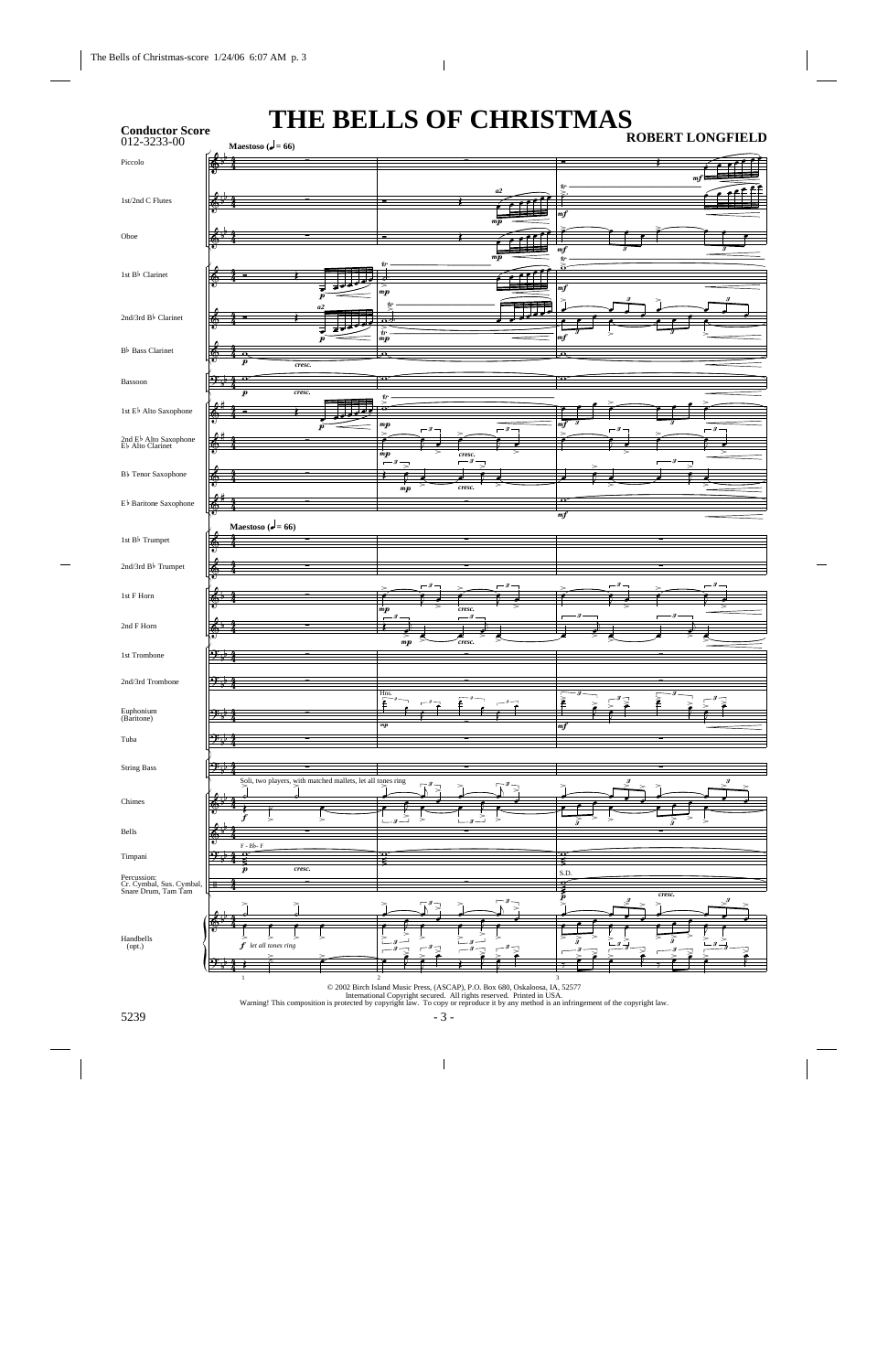## **THE BELLS OF CHRISTMAS**

| <b>Conductor Score</b><br>012-3233-00                          | <u>BLLDIN</u><br>Maestoso ( $\bullet$ = 66)                                    | $\mathbf{v}$ .                                                                                   | ᆂᅛᅠᆂᅶᅑᆂᅛᆂᅛ<br>ROBERT LONGFIELD                            |
|----------------------------------------------------------------|--------------------------------------------------------------------------------|--------------------------------------------------------------------------------------------------|-----------------------------------------------------------|
| Piccolo                                                        |                                                                                |                                                                                                  | mJ                                                        |
| 1st/2nd C Flutes                                               |                                                                                | a2                                                                                               | Ħ<br>mf                                                   |
| Oboe                                                           |                                                                                | mp<br>-                                                                                          | m f                                                       |
| 1st B <sub>b</sub> Clarinet                                    | n                                                                              | $\boldsymbol{m}$<br>tr<br>,,,,,,,,,,,,,,,,,,,,,,,,,,,,<br>⇒<br>$\boldsymbol{m}$                  | もr<br>mf                                                  |
| 2nd/3rd $B$ <sup>b</sup> Clarinet                              | a2                                                                             | Ħ<br>JJ<br>$\overline{\mathbf{Q}}$<br>$\stackrel{\text{tr}}{m} p$                                | mf                                                        |
| B <sub>b</sub> Bass Clarinet                                   | p<br>$\boldsymbol{p}$<br>cresc.                                                | æ                                                                                                | æ,                                                        |
| Bassoon                                                        | €<br>$\boldsymbol{p}$<br>$\it{cresc.}$                                         | `ө<br>$\mathbf{r}$                                                                               | €                                                         |
| $1$ st Eb Alto Saxophone                                       | n                                                                              | тp                                                                                               | m f<br>-3                                                 |
| $2$ nd E $\flat$ Alto Saxophone E $\flat$ Alto Clarinet        |                                                                                | -3-<br>$\mathbf{m}$<br>cresc.<br>$-3$<br>$\overline{z}$                                          | -3<br>-                                                   |
| $\mathbf{B}^{\dagger}$ Tenor Saxophone                         |                                                                                | ₹<br>cresc.<br>$\binom{mp}{m}$                                                                   |                                                           |
| $\mathsf{E}^\:\flat$ Baritone Saxophone                        |                                                                                |                                                                                                  | $\bullet$<br>$\overline{mf}$                              |
| 1st Bb Trumpet                                                 | Maestoso ( $\bullet$ = 66)<br>$\bullet$                                        |                                                                                                  |                                                           |
| 2nd/3rd Bb Trumpet                                             |                                                                                |                                                                                                  | $\cdot$ 3<br>-3                                           |
| 1st F Horn                                                     |                                                                                | $\mathbf{m}$<br>cresc.                                                                           |                                                           |
| 2nd F Horn                                                     | ra                                                                             | $\Gamma$<br>$\frac{1}{mp}$<br>$\mathbf{r}$<br>$\frac{1}{\text{c} \cdot \text{c} \cdot \text{c}}$ |                                                           |
| 1st Trombone                                                   | $2 +$                                                                          |                                                                                                  |                                                           |
| 2nd/3rd Trombone                                               | $9\pm$                                                                         | $\frac{H \text{ns}}{f}$                                                                          | Ξ<br>⋝<br>$-3 \sum$<br>-3<br>Ξ                            |
| Euphonium<br>(Baritone)                                        | $\mathcal{P}^+$                                                                | $\boldsymbol{m}{\boldsymbol{p}}$                                                                 | m f                                                       |
| Tuba                                                           | $\mathcal{P}$                                                                  |                                                                                                  |                                                           |
| <b>String Bass</b>                                             | $2\,\sharp\,\{$<br>Soli, two players, with matched mallets, let all tones ring | $\overline{\phantom{a}}$                                                                         | $\mathcal{J}$<br>$\mathcal{S}$                            |
| Chimes                                                         |                                                                                | $\overline{\phantom{a}}$<br>∍<br>- 2                                                             | ⋗                                                         |
| Bells                                                          | $F - B$ b-F                                                                    |                                                                                                  |                                                           |
| Timpani                                                        | $\overline{\bullet}$<br>cresc.<br>$\boldsymbol{p}$                             | €                                                                                                | ۰<br>٤<br>S.D.                                            |
| Percussion:<br>Cr. Cymbal, Sus. Cymbal,<br>Snare Drum, Tam Tam | ⊞<br>>                                                                         | $-3-$<br>- 3                                                                                     | $\mathbf{p}$<br>$\it{cresc.}$<br>$\bar{\bm{p}}$<br>$\geq$ |
| $\leftarrow_{\text{(opt.)}}$                                   | ⋗<br>$f$ let all tones ring                                                    | こ                                                                                                |                                                           |
|                                                                |                                                                                | $\overline{2}$                                                                                   | $\overline{3}$                                            |

 $\frac{1}{2}$  3

© 2002 Birch Island Music Press, (ASCAP), P.O. Box 680, Oskaloosa, IA, 52577<br>International Copyright secured. All rights reserved by copyright law.<br>Warning! This composition is protected by copyright law. To copy or reprod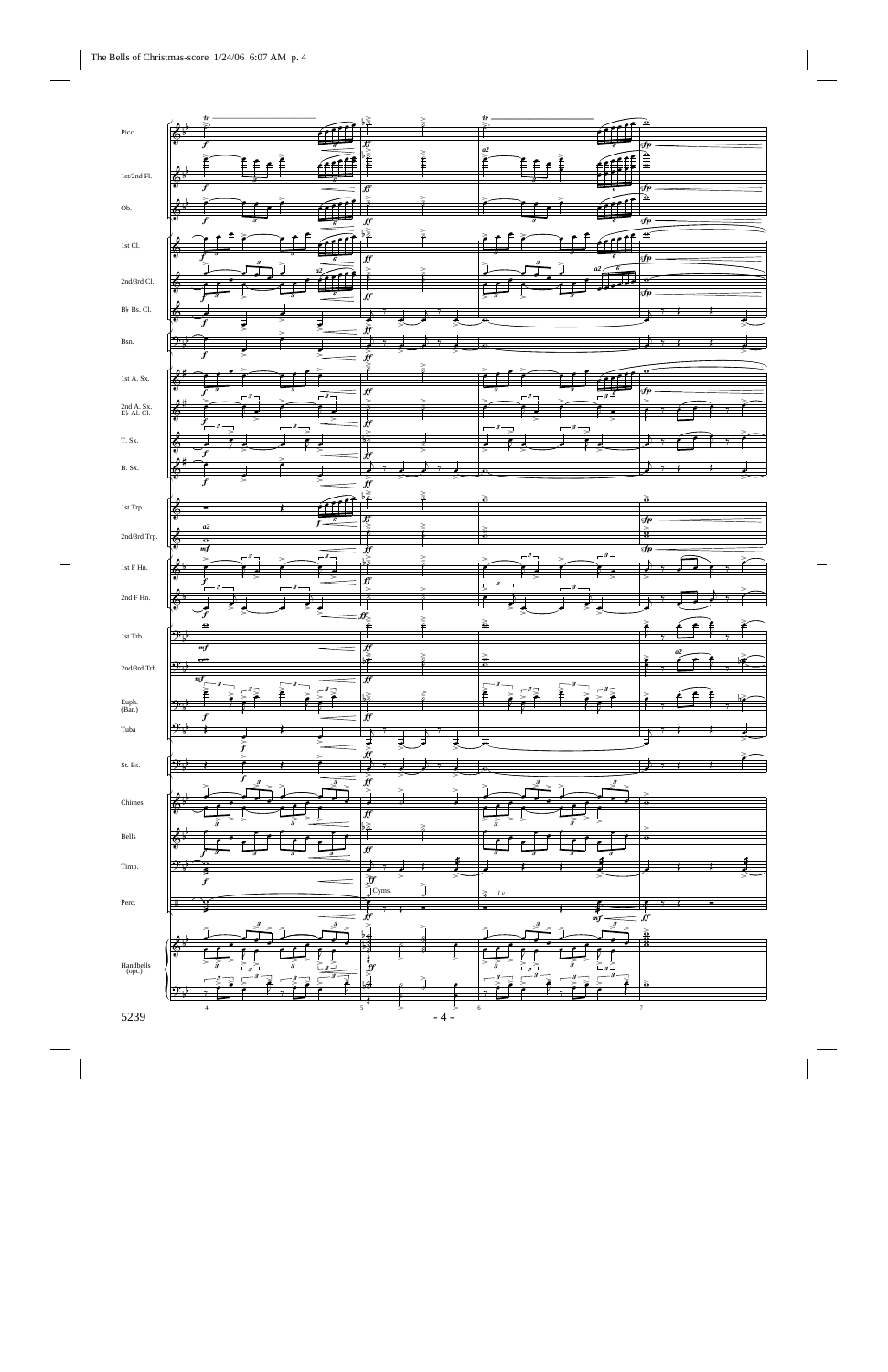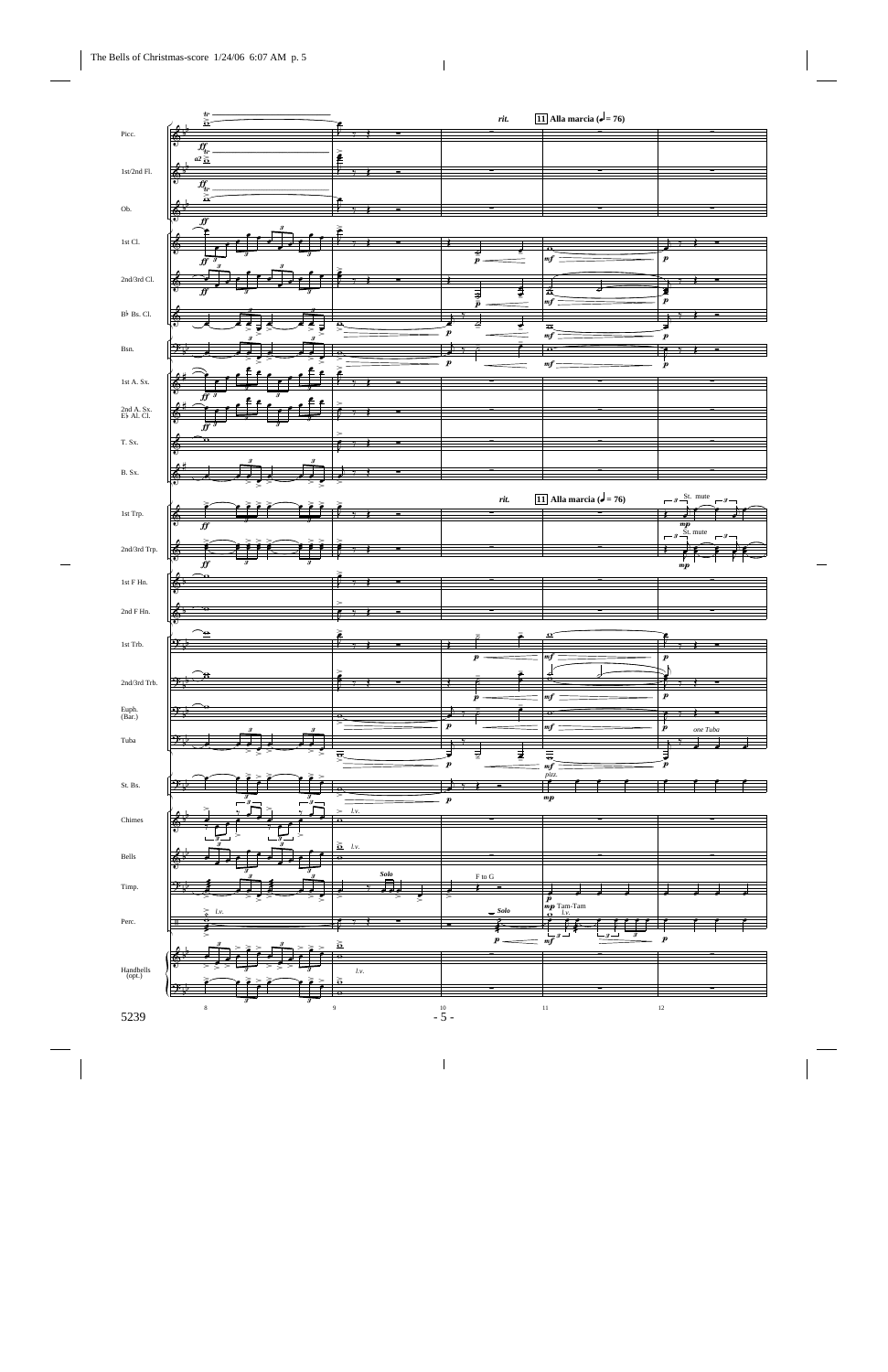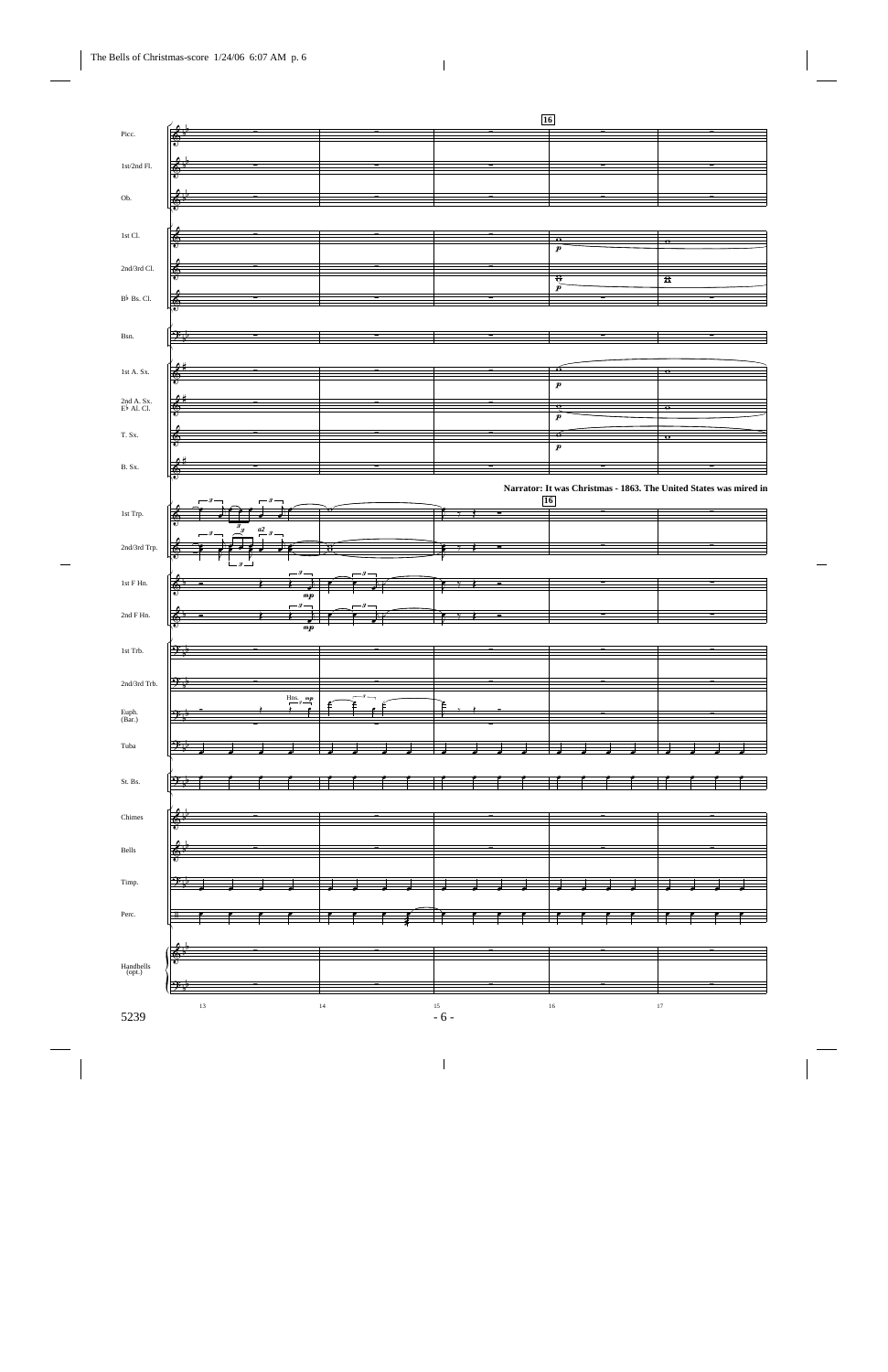

 $5239$  - 6 -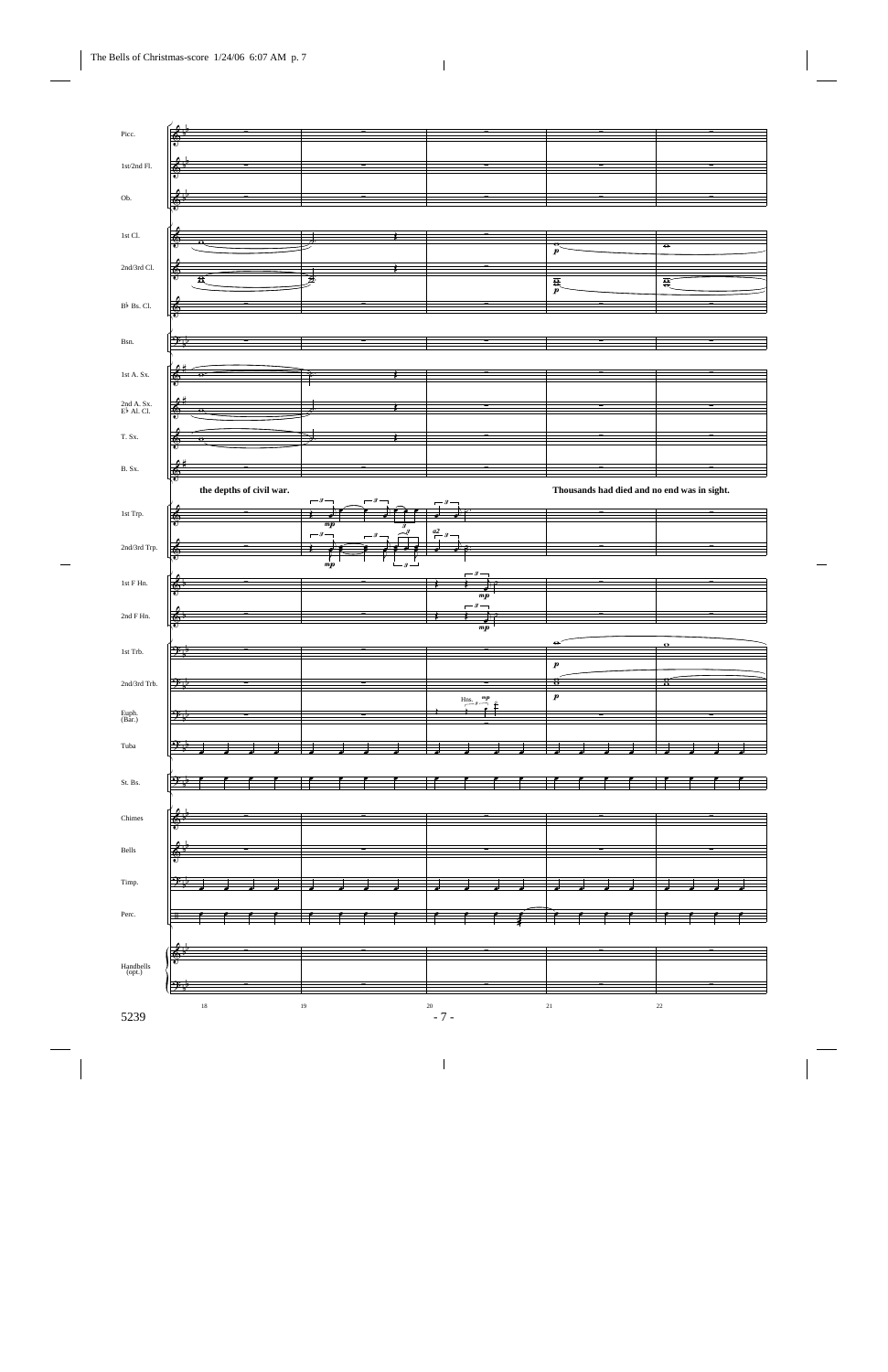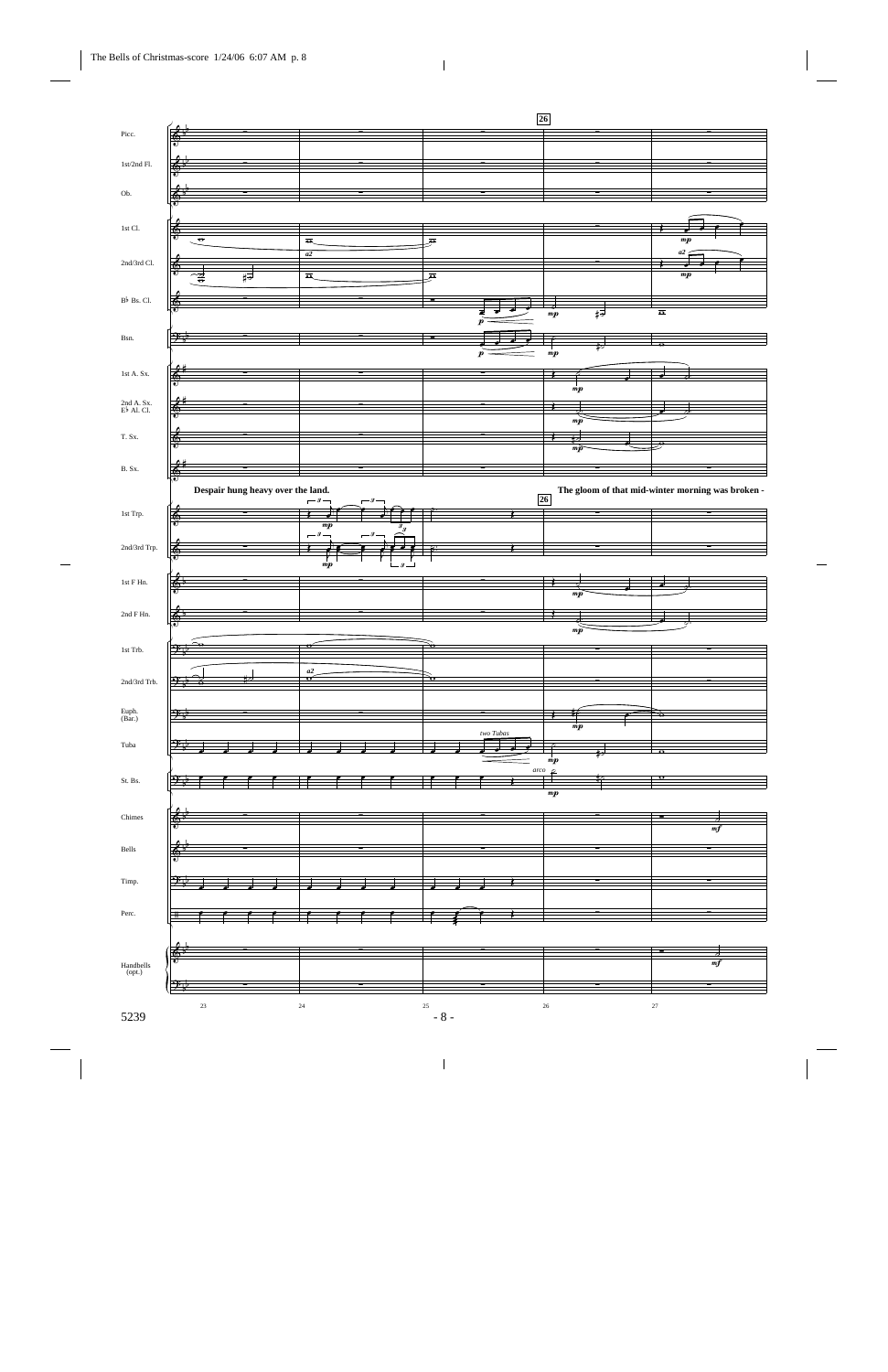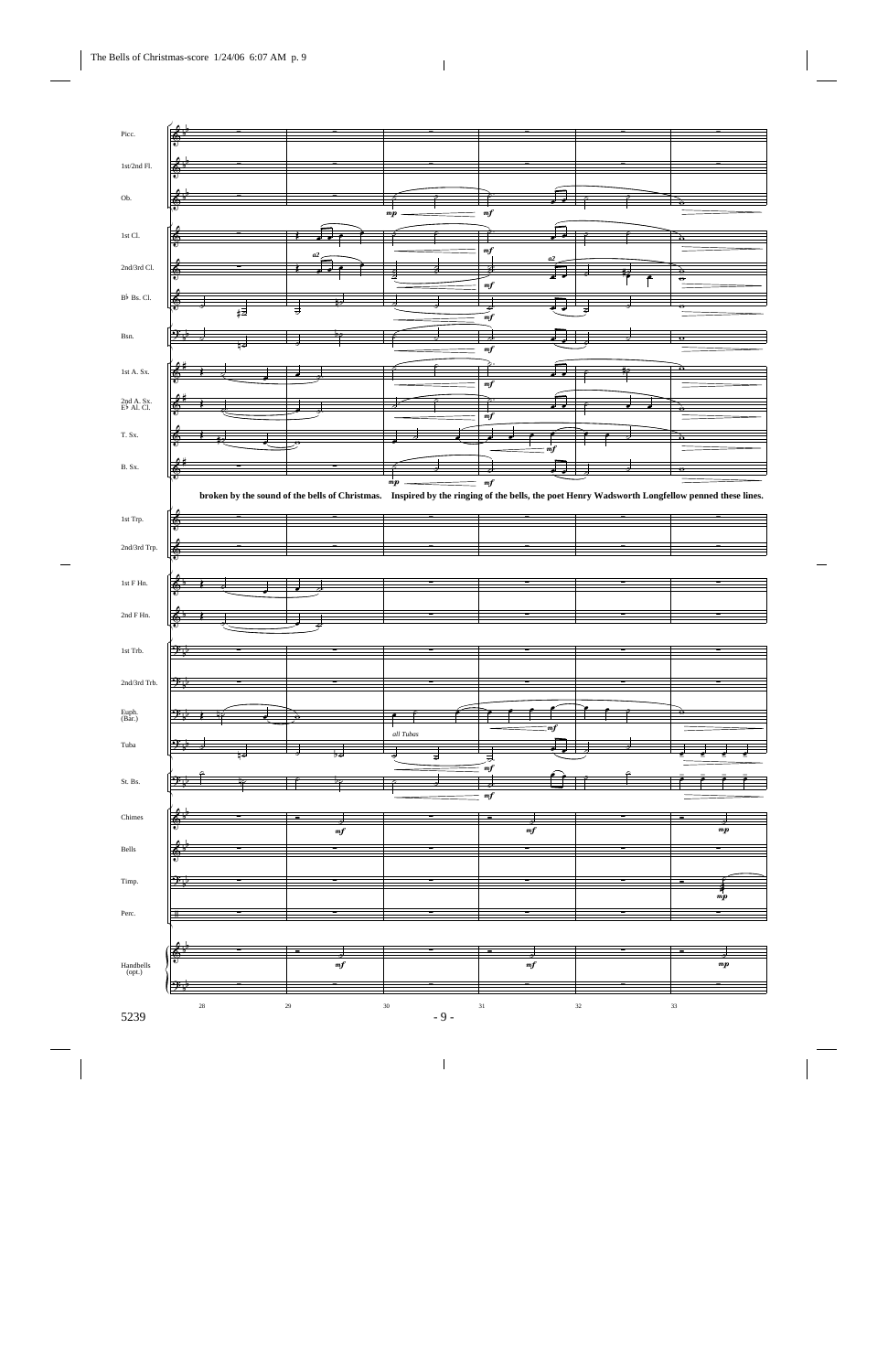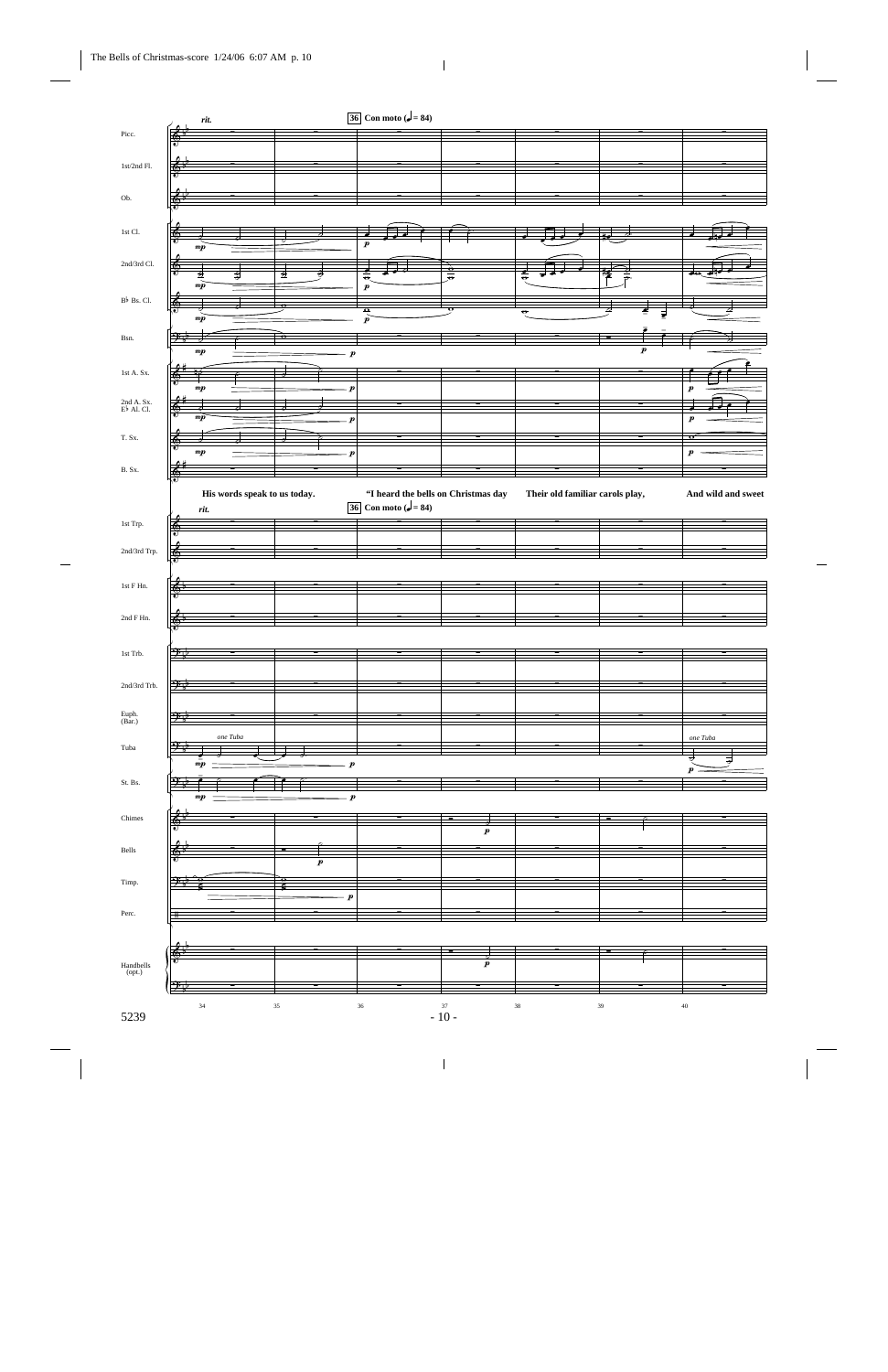|                                                                                                                                                                                                                                                                                                                                                                                                                                                                                                                               | 36 Con moto ( $\bullet$ = 84)<br>rit. |                    |                                                 |                    |                                 |                |                         |  |
|-------------------------------------------------------------------------------------------------------------------------------------------------------------------------------------------------------------------------------------------------------------------------------------------------------------------------------------------------------------------------------------------------------------------------------------------------------------------------------------------------------------------------------|---------------------------------------|--------------------|-------------------------------------------------|--------------------|---------------------------------|----------------|-------------------------|--|
| Picc.                                                                                                                                                                                                                                                                                                                                                                                                                                                                                                                         | $\frac{1}{2}$                         |                    |                                                 |                    |                                 |                |                         |  |
|                                                                                                                                                                                                                                                                                                                                                                                                                                                                                                                               |                                       |                    |                                                 |                    |                                 |                |                         |  |
| $1\mathrm{st}/2\mathrm{nd}$ Fl.                                                                                                                                                                                                                                                                                                                                                                                                                                                                                               |                                       |                    |                                                 |                    |                                 |                |                         |  |
|                                                                                                                                                                                                                                                                                                                                                                                                                                                                                                                               | T                                     |                    |                                                 |                    |                                 |                |                         |  |
|                                                                                                                                                                                                                                                                                                                                                                                                                                                                                                                               |                                       |                    |                                                 |                    |                                 |                |                         |  |
| Ob.                                                                                                                                                                                                                                                                                                                                                                                                                                                                                                                           |                                       |                    |                                                 |                    |                                 |                |                         |  |
|                                                                                                                                                                                                                                                                                                                                                                                                                                                                                                                               |                                       |                    |                                                 |                    |                                 |                |                         |  |
| $1\mathrm{st}$ Cl.                                                                                                                                                                                                                                                                                                                                                                                                                                                                                                            | $\frac{1}{9}$                         |                    |                                                 |                    |                                 |                |                         |  |
|                                                                                                                                                                                                                                                                                                                                                                                                                                                                                                                               | $\boldsymbol{m}$                      |                    | $\overline{p}$                                  |                    |                                 |                |                         |  |
|                                                                                                                                                                                                                                                                                                                                                                                                                                                                                                                               |                                       |                    |                                                 |                    |                                 |                |                         |  |
| $2$ nd/3rd Cl.                                                                                                                                                                                                                                                                                                                                                                                                                                                                                                                | ∲                                     |                    |                                                 | $\dot{\mathbf{o}}$ |                                 |                | $\bullet$               |  |
|                                                                                                                                                                                                                                                                                                                                                                                                                                                                                                                               | ⋬<br>ट्ट<br>$m\overline{p}$           | ₹                  | $\overline{\sigma}$<br>$\pmb{p}$                | $\bar{\sigma}$     | $rac{1}{\sigma}$                |                |                         |  |
| Bb Bs. Cl.                                                                                                                                                                                                                                                                                                                                                                                                                                                                                                                    |                                       |                    |                                                 |                    |                                 |                |                         |  |
|                                                                                                                                                                                                                                                                                                                                                                                                                                                                                                                               | $\phi$                                | 71                 | $\overline{\mathbf{e}}$                         |                    | $\overline{\mathbf{o}}$         |                |                         |  |
|                                                                                                                                                                                                                                                                                                                                                                                                                                                                                                                               | $m\tilde{p}$                          |                    | $\boldsymbol{p}$                                |                    |                                 |                |                         |  |
| Bsn.                                                                                                                                                                                                                                                                                                                                                                                                                                                                                                                          | $\mathbf{\mathcal{P}}$                | $\dot{\mathbf{o}}$ |                                                 |                    |                                 | н.             |                         |  |
|                                                                                                                                                                                                                                                                                                                                                                                                                                                                                                                               | $\boldsymbol{m}\boldsymbol{p}$        | $- p$              |                                                 |                    |                                 | $\overline{p}$ |                         |  |
|                                                                                                                                                                                                                                                                                                                                                                                                                                                                                                                               |                                       |                    |                                                 |                    |                                 |                |                         |  |
| $1st$ A. $Sx.$                                                                                                                                                                                                                                                                                                                                                                                                                                                                                                                | ⊕                                     |                    |                                                 |                    |                                 |                |                         |  |
|                                                                                                                                                                                                                                                                                                                                                                                                                                                                                                                               | $\boldsymbol{m}$                      | $\boldsymbol{p}$   |                                                 |                    |                                 |                | $\boldsymbol{p}$        |  |
| $2nd$ A. Sx. $\,$ Eb Al. Cl.                                                                                                                                                                                                                                                                                                                                                                                                                                                                                                  | 停                                     |                    |                                                 |                    |                                 |                |                         |  |
|                                                                                                                                                                                                                                                                                                                                                                                                                                                                                                                               | mp                                    | $\boldsymbol{p}$   |                                                 |                    |                                 |                | $\boldsymbol{p}$        |  |
|                                                                                                                                                                                                                                                                                                                                                                                                                                                                                                                               |                                       |                    |                                                 |                    |                                 |                |                         |  |
| T. Sx.                                                                                                                                                                                                                                                                                                                                                                                                                                                                                                                        | $\bigcirc$                            |                    |                                                 |                    |                                 |                | $\mathbf{o}$            |  |
|                                                                                                                                                                                                                                                                                                                                                                                                                                                                                                                               | $\boldsymbol{m}\boldsymbol{p}$        | $\boldsymbol{p}$   |                                                 |                    |                                 |                | $\boldsymbol{p}$        |  |
| B. Sx.                                                                                                                                                                                                                                                                                                                                                                                                                                                                                                                        | $\bigcirc$                            |                    |                                                 |                    |                                 |                |                         |  |
|                                                                                                                                                                                                                                                                                                                                                                                                                                                                                                                               |                                       |                    |                                                 |                    |                                 |                |                         |  |
|                                                                                                                                                                                                                                                                                                                                                                                                                                                                                                                               | His words speak to us today.          |                    | "I heard the bells on Christmas day             |                    | Their old familiar carols play, |                | And wild and sweet      |  |
|                                                                                                                                                                                                                                                                                                                                                                                                                                                                                                                               | rit.                                  |                    | $\overline{36}$ Con moto ( $\overline{6}$ = 84) |                    |                                 |                |                         |  |
| $1\mathrm{st}$ Trp.                                                                                                                                                                                                                                                                                                                                                                                                                                                                                                           | $\bigcirc$                            |                    |                                                 |                    |                                 |                |                         |  |
|                                                                                                                                                                                                                                                                                                                                                                                                                                                                                                                               |                                       |                    |                                                 |                    |                                 |                |                         |  |
| $2$ nd/3rd Trp.                                                                                                                                                                                                                                                                                                                                                                                                                                                                                                               | Ó.                                    |                    |                                                 |                    |                                 |                |                         |  |
|                                                                                                                                                                                                                                                                                                                                                                                                                                                                                                                               |                                       |                    |                                                 |                    |                                 |                |                         |  |
|                                                                                                                                                                                                                                                                                                                                                                                                                                                                                                                               |                                       |                    |                                                 |                    |                                 |                |                         |  |
| $1\mathrm{st}\to\mathrm{Hn}.$                                                                                                                                                                                                                                                                                                                                                                                                                                                                                                 | 膚                                     |                    |                                                 |                    |                                 |                |                         |  |
|                                                                                                                                                                                                                                                                                                                                                                                                                                                                                                                               |                                       |                    |                                                 |                    |                                 |                |                         |  |
| 2nd F Hn.                                                                                                                                                                                                                                                                                                                                                                                                                                                                                                                     |                                       |                    |                                                 |                    |                                 |                |                         |  |
|                                                                                                                                                                                                                                                                                                                                                                                                                                                                                                                               | L∲ ≧                                  |                    |                                                 |                    |                                 |                |                         |  |
|                                                                                                                                                                                                                                                                                                                                                                                                                                                                                                                               |                                       |                    |                                                 |                    |                                 |                |                         |  |
| $1st$ Trb. $\,$                                                                                                                                                                                                                                                                                                                                                                                                                                                                                                               | $9\frac{1}{2}$                        |                    |                                                 |                    |                                 |                |                         |  |
|                                                                                                                                                                                                                                                                                                                                                                                                                                                                                                                               |                                       |                    |                                                 |                    |                                 |                |                         |  |
| 2nd/3rd Trb.                                                                                                                                                                                                                                                                                                                                                                                                                                                                                                                  | طينۇ                                  |                    |                                                 |                    |                                 |                |                         |  |
|                                                                                                                                                                                                                                                                                                                                                                                                                                                                                                                               |                                       |                    |                                                 |                    |                                 |                |                         |  |
|                                                                                                                                                                                                                                                                                                                                                                                                                                                                                                                               | $\rightarrow$                         | Ξ                  | -                                               | ۰.                 | ÷                               | ۰.             |                         |  |
| $\begin{array}{c} \text{Euph.} \\ \text{(Bar.)} \end{array}$                                                                                                                                                                                                                                                                                                                                                                                                                                                                  |                                       |                    |                                                 |                    |                                 |                |                         |  |
|                                                                                                                                                                                                                                                                                                                                                                                                                                                                                                                               | $\emph{one Tuba}$                     |                    |                                                 |                    |                                 |                | $\emph{one Tuba}$       |  |
| Tuba                                                                                                                                                                                                                                                                                                                                                                                                                                                                                                                          | י בי                                  |                    |                                                 |                    |                                 |                |                         |  |
|                                                                                                                                                                                                                                                                                                                                                                                                                                                                                                                               | $\boldsymbol{m}$                      | - <b>p</b>         |                                                 |                    |                                 |                | ਰ੍ਹ<br>$\boldsymbol{p}$ |  |
| St. Bs.                                                                                                                                                                                                                                                                                                                                                                                                                                                                                                                       |                                       |                    |                                                 |                    |                                 |                |                         |  |
|                                                                                                                                                                                                                                                                                                                                                                                                                                                                                                                               | $\boldsymbol{m}$                      | $\boldsymbol{p}$   |                                                 |                    |                                 |                |                         |  |
|                                                                                                                                                                                                                                                                                                                                                                                                                                                                                                                               |                                       |                    |                                                 |                    |                                 |                |                         |  |
| Chimes                                                                                                                                                                                                                                                                                                                                                                                                                                                                                                                        |                                       |                    |                                                 | Ξ                  |                                 | -              |                         |  |
|                                                                                                                                                                                                                                                                                                                                                                                                                                                                                                                               |                                       |                    |                                                 | $\pmb{p}$          |                                 |                |                         |  |
| Bells                                                                                                                                                                                                                                                                                                                                                                                                                                                                                                                         |                                       |                    |                                                 |                    |                                 |                |                         |  |
|                                                                                                                                                                                                                                                                                                                                                                                                                                                                                                                               |                                       | $\boldsymbol{p}$   |                                                 |                    |                                 |                |                         |  |
|                                                                                                                                                                                                                                                                                                                                                                                                                                                                                                                               |                                       |                    |                                                 |                    |                                 |                |                         |  |
| Timp.                                                                                                                                                                                                                                                                                                                                                                                                                                                                                                                         |                                       | $\bullet$<br>₹     |                                                 |                    |                                 |                |                         |  |
|                                                                                                                                                                                                                                                                                                                                                                                                                                                                                                                               |                                       | $\boldsymbol{p}$   |                                                 |                    |                                 |                |                         |  |
| Perc.                                                                                                                                                                                                                                                                                                                                                                                                                                                                                                                         |                                       |                    |                                                 |                    |                                 |                |                         |  |
|                                                                                                                                                                                                                                                                                                                                                                                                                                                                                                                               |                                       |                    |                                                 |                    |                                 |                |                         |  |
|                                                                                                                                                                                                                                                                                                                                                                                                                                                                                                                               |                                       |                    |                                                 |                    |                                 |                |                         |  |
|                                                                                                                                                                                                                                                                                                                                                                                                                                                                                                                               |                                       |                    |                                                 |                    |                                 |                |                         |  |
| $\underset{\text{(opt.)}}{\text{Handbells}}% \begin{pmatrix} \rho_{\text{max}} & \text{if } \rho_{\text{max}}\\ \text{if } \rho_{\text{max}} & \text{if } \rho_{\text{max}} \end{pmatrix} \begin{pmatrix} \rho_{\text{max}} & \text{if } \rho_{\text{max}}\\ \rho_{\text{max}} & \text{if } \rho_{\text{max}} \end{pmatrix} \begin{pmatrix} \rho_{\text{max}} & \text{if } \rho_{\text{max}}\\ \rho_{\text{max}} & \text{if } \rho_{\text{max}} \end{pmatrix} \begin{pmatrix} \rho_{\text{max}} & \text{if } \rho_{\text{max$ | ग                                     |                    |                                                 | $\boldsymbol{p}$   |                                 |                |                         |  |
|                                                                                                                                                                                                                                                                                                                                                                                                                                                                                                                               |                                       |                    |                                                 |                    |                                 |                |                         |  |
|                                                                                                                                                                                                                                                                                                                                                                                                                                                                                                                               | $9\pm$                                |                    |                                                 |                    |                                 |                |                         |  |
|                                                                                                                                                                                                                                                                                                                                                                                                                                                                                                                               | 34                                    | 35                 | $36\,$                                          |                    | $38\,$                          | 39             | $40\,$                  |  |
| 5239                                                                                                                                                                                                                                                                                                                                                                                                                                                                                                                          |                                       |                    |                                                 | $-10-$             |                                 |                |                         |  |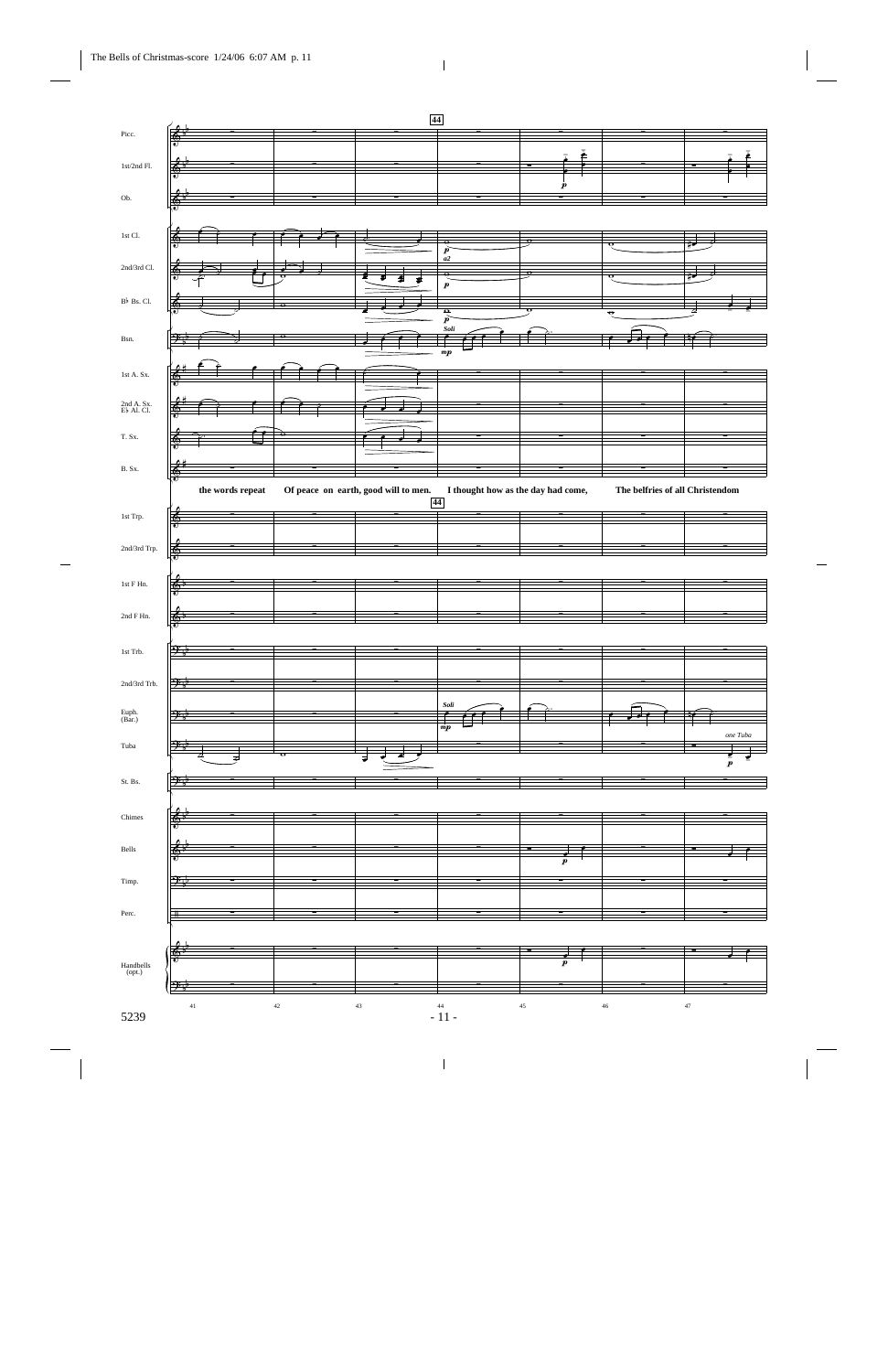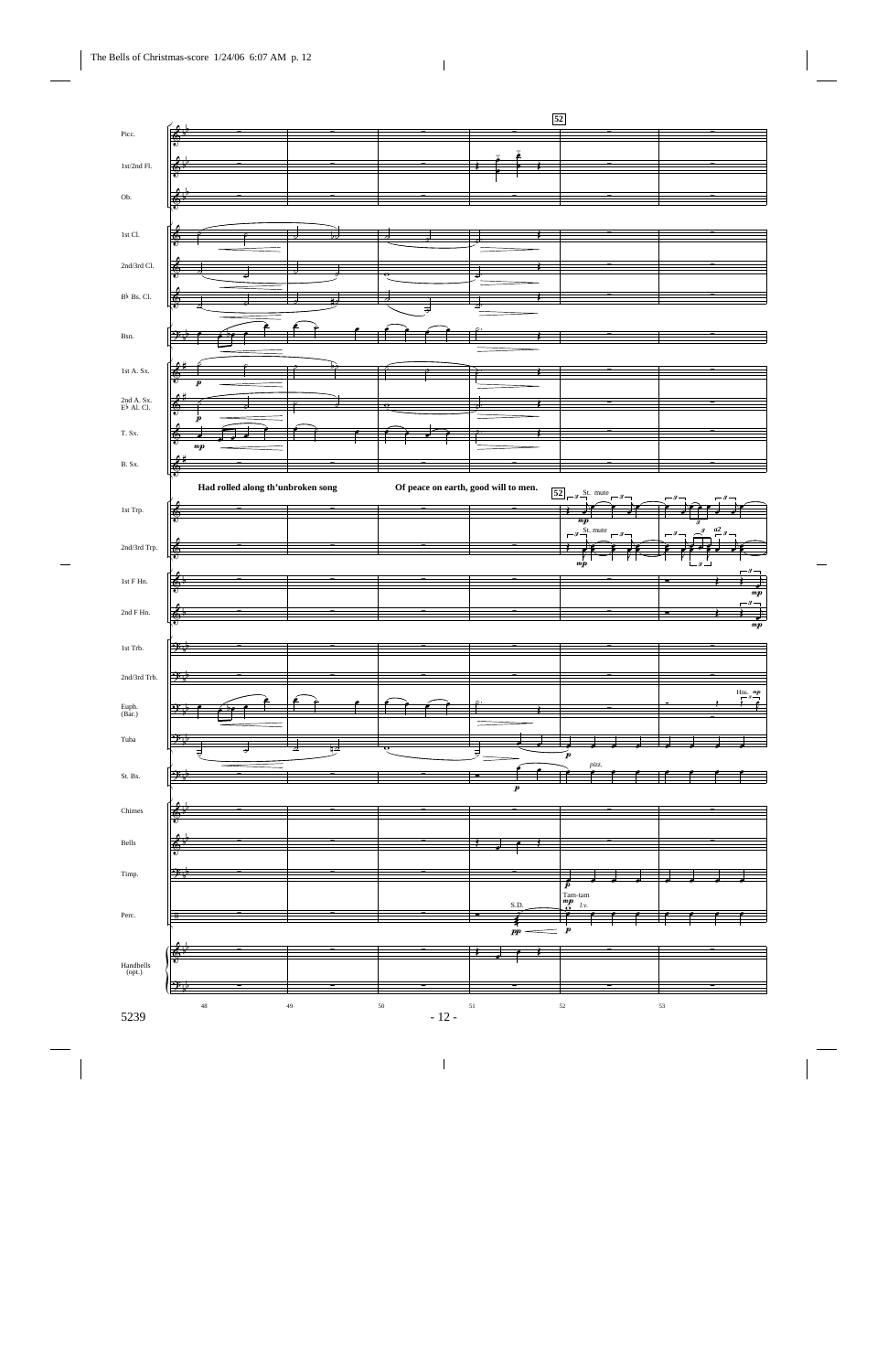![](_page_9_Figure_0.jpeg)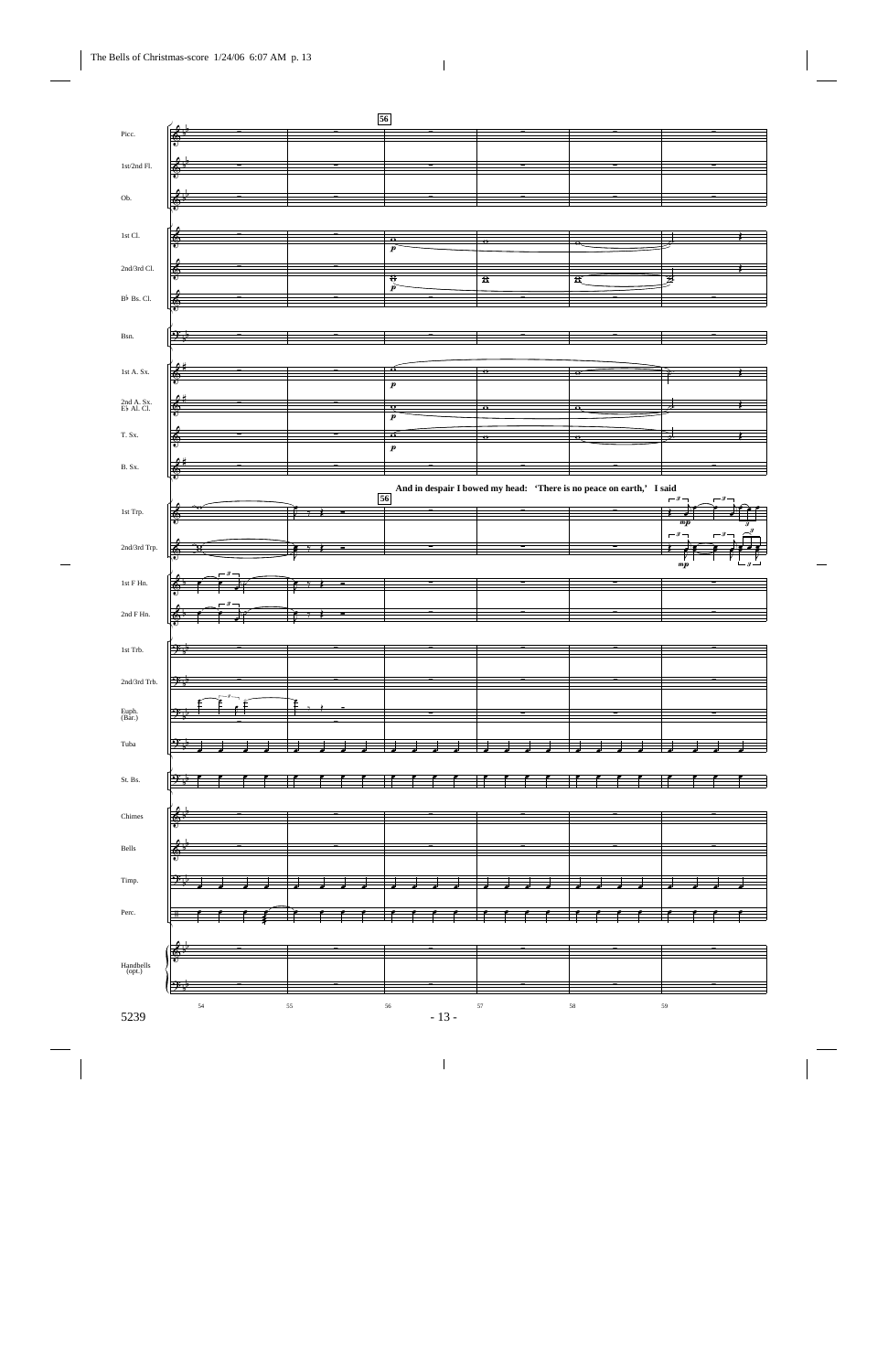|                                                                  |                           | $\sqrt{56}$                              |                                                                |                                                                      |                         |                                |
|------------------------------------------------------------------|---------------------------|------------------------------------------|----------------------------------------------------------------|----------------------------------------------------------------------|-------------------------|--------------------------------|
| Picc.                                                            | $\clubsuit$               |                                          |                                                                |                                                                      |                         |                                |
| $1st/2nd$ Fl. $\,$                                               | $\mathbb{C}^1$            |                                          |                                                                |                                                                      |                         |                                |
| Ob.                                                              | $\bullet$                 |                                          |                                                                |                                                                      |                         |                                |
|                                                                  | $\blacklozenge$           |                                          |                                                                |                                                                      |                         |                                |
| $1\mathrm{st}$ Cl.                                               | $\frac{1}{2}$             |                                          |                                                                | $\overline{\mathbf{o}}$                                              | $\bullet$               |                                |
|                                                                  |                           |                                          | $\frac{\overline{q}}{p}$                                       |                                                                      |                         |                                |
| $2$ nd/3rd Cl.                                                   | €<br>T                    |                                          | $\overline{\mathbf{B}}$<br>$\bar{p}$                           | $\overline{\mathbf{g}}$                                              | $\overline{\mathbf{g}}$ | প্ৰ                            |
| $\rm B^{\flat}$ Bs. Cl.                                          | Ģ                         |                                          |                                                                |                                                                      |                         |                                |
| Bsn.                                                             | $\mathcal{P}$             |                                          |                                                                |                                                                      |                         |                                |
|                                                                  |                           |                                          |                                                                |                                                                      |                         |                                |
| $1st$ A. $Sx.$                                                   | $\hat{\mathbb{P}}$        |                                          | $\bullet$                                                      | $\overline{\mathbf{o}}$                                              | $\overline{\mathbf{e}}$ |                                |
|                                                                  |                           |                                          | $\overline{p}$                                                 |                                                                      |                         |                                |
| $2nd$ A. Sx. Eb Al. Cl.                                          | $\spadesuit$              |                                          | $\overline{\mathbf{e}}$<br>$\boldsymbol{p}$                    | $\overline{\bullet}$                                                 | $\overline{\mathbf{o}}$ |                                |
| T. Sx.                                                           | €<br>$\overline{\bullet}$ |                                          | $\overline{\bullet}$<br>$\boldsymbol{p}$                       | $\mathbf{o}$                                                         | $\mathbf{o}$            |                                |
| $\mathbf{B.}$ Sx.                                                | 4                         |                                          |                                                                |                                                                      |                         |                                |
|                                                                  |                           |                                          |                                                                | And in despair I bowed my head: 'There is no peace on earth,' I said |                         |                                |
| $1\mathrm{st}$ Trp.                                              | Œ                         | 56                                       |                                                                |                                                                      |                         | $-3$                           |
|                                                                  | $\bullet$                 |                                          |                                                                |                                                                      |                         | $\overline{mp}$<br>$-3-$       |
| 2nd/3rd Trp.                                                     | €                         | $\overline{\mathcal{I}}$                 |                                                                |                                                                      |                         | $\boldsymbol{m}\boldsymbol{p}$ |
| $1\mathrm{st}\to\mathrm{Hn}.$                                    | $\breve{\Phi}$            |                                          |                                                                |                                                                      |                         |                                |
| $2$ nd F $\rm Hn.$                                               |                           | $\overline{r}$<br>Ξ                      |                                                                |                                                                      |                         |                                |
|                                                                  | $\frac{1}{\sqrt{2}}$      |                                          |                                                                |                                                                      |                         |                                |
| $1st$ Trb. $\,$                                                  | $\mathcal{P}$             |                                          |                                                                |                                                                      |                         |                                |
| $2$ nd/ $3$ rd Trb.                                              | $\mathbf{P}$              |                                          |                                                                |                                                                      |                         |                                |
|                                                                  | ۴                         |                                          |                                                                |                                                                      |                         |                                |
| $\begin{array}{c} \text{Euph.} \\ \text{(Bar.)} \end{array}$     | $9\pm$                    |                                          |                                                                |                                                                      |                         |                                |
| Tuba                                                             | $\mathcal{P}$             |                                          |                                                                |                                                                      |                         |                                |
| $\rm St.$ Bs.                                                    | $\mathbf{P}$              |                                          |                                                                |                                                                      |                         |                                |
|                                                                  |                           |                                          |                                                                |                                                                      |                         |                                |
| ${\it Chimes}$                                                   | $\frac{1}{2}$             |                                          |                                                                |                                                                      |                         |                                |
| Bells                                                            | $\frac{1}{2}$             |                                          |                                                                |                                                                      |                         |                                |
|                                                                  |                           |                                          |                                                                |                                                                      |                         |                                |
| Timp.                                                            | $\mathfrak{R}^+$          |                                          |                                                                |                                                                      |                         |                                |
| Perc.                                                            | 표                         | $\mathbf{f}$<br>$\overline{\phantom{a}}$ | 手<br>$\overline{\phantom{a}}$<br>$\overline{\phantom{a}}$<br>€ | Ŧ۴<br>$\overline{\phantom{a}}$                                       | $\ddot{\mathrm{f}}$     |                                |
|                                                                  |                           |                                          |                                                                |                                                                      |                         |                                |
| $\begin{array}{c} \text{Handbells} \\ \text{(opt.)} \end{array}$ | $\frac{2}{9}$             |                                          |                                                                |                                                                      |                         |                                |
|                                                                  | $\mathbb{P}_{\mathbb{Z}}$ |                                          |                                                                |                                                                      |                         |                                |
| 5239                                                             | 54                        | 55                                       | 56<br>$-13-$                                                   | 57                                                                   | $58\,$                  | 59                             |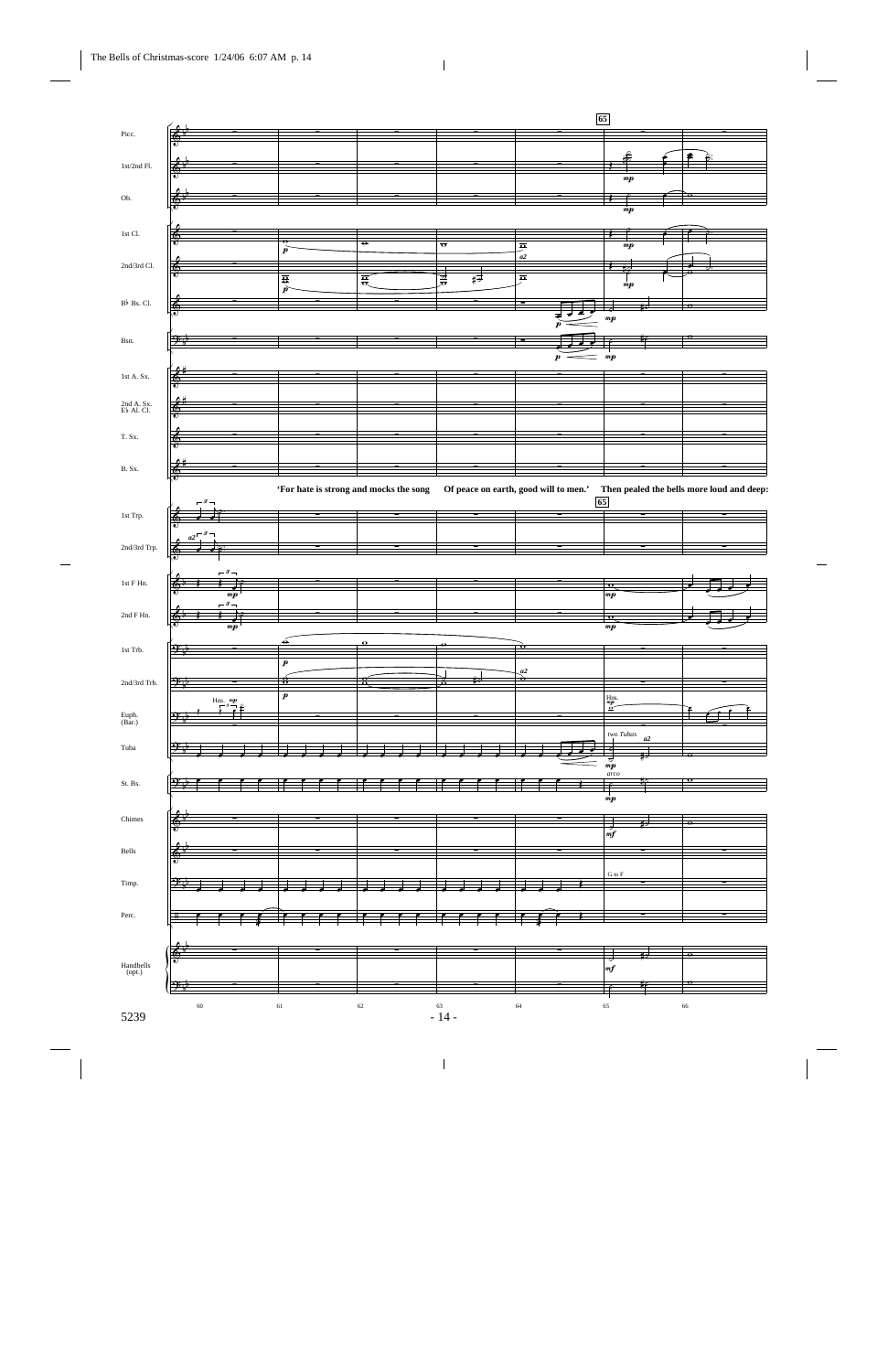![](_page_11_Figure_0.jpeg)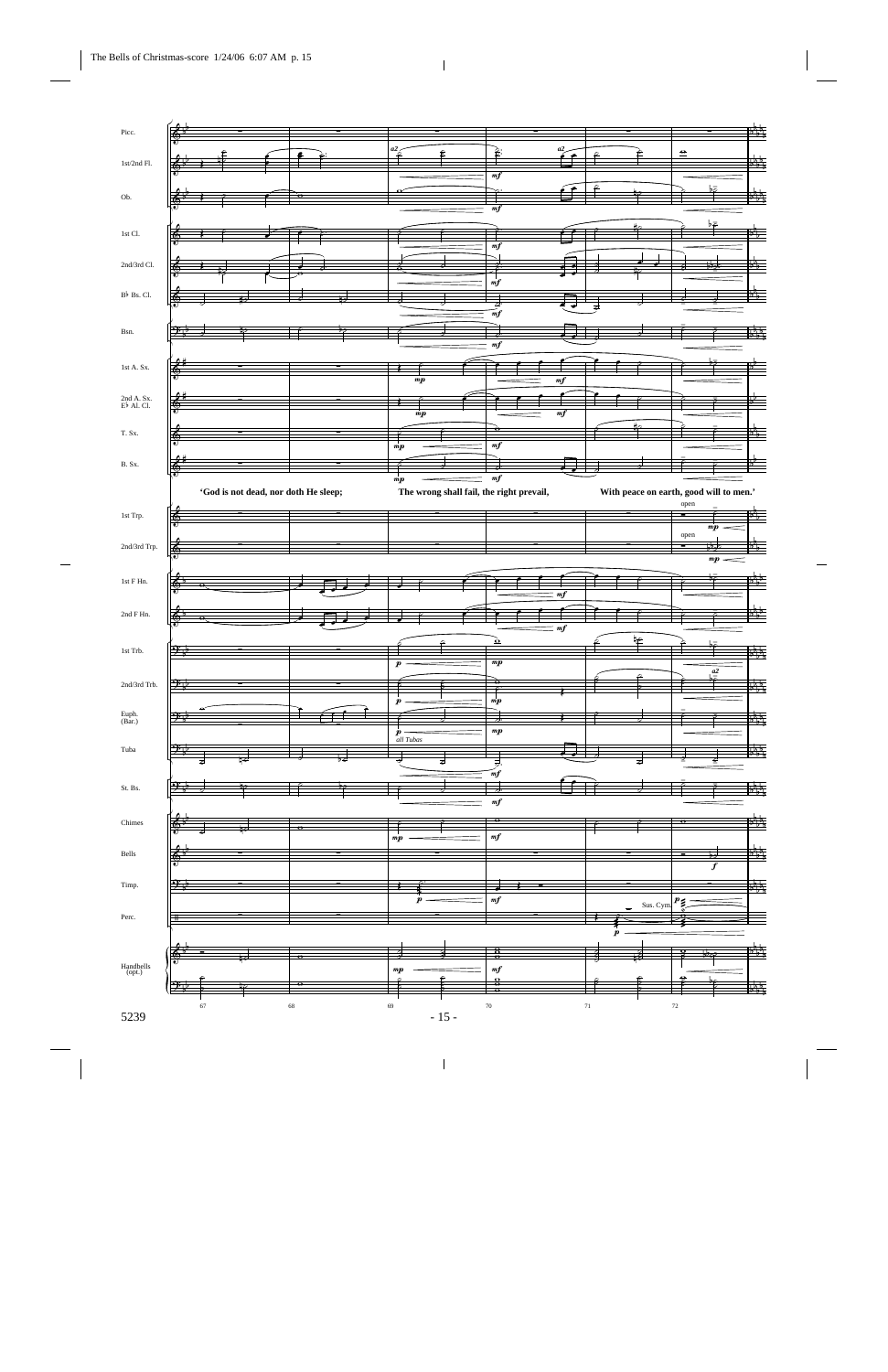![](_page_12_Figure_0.jpeg)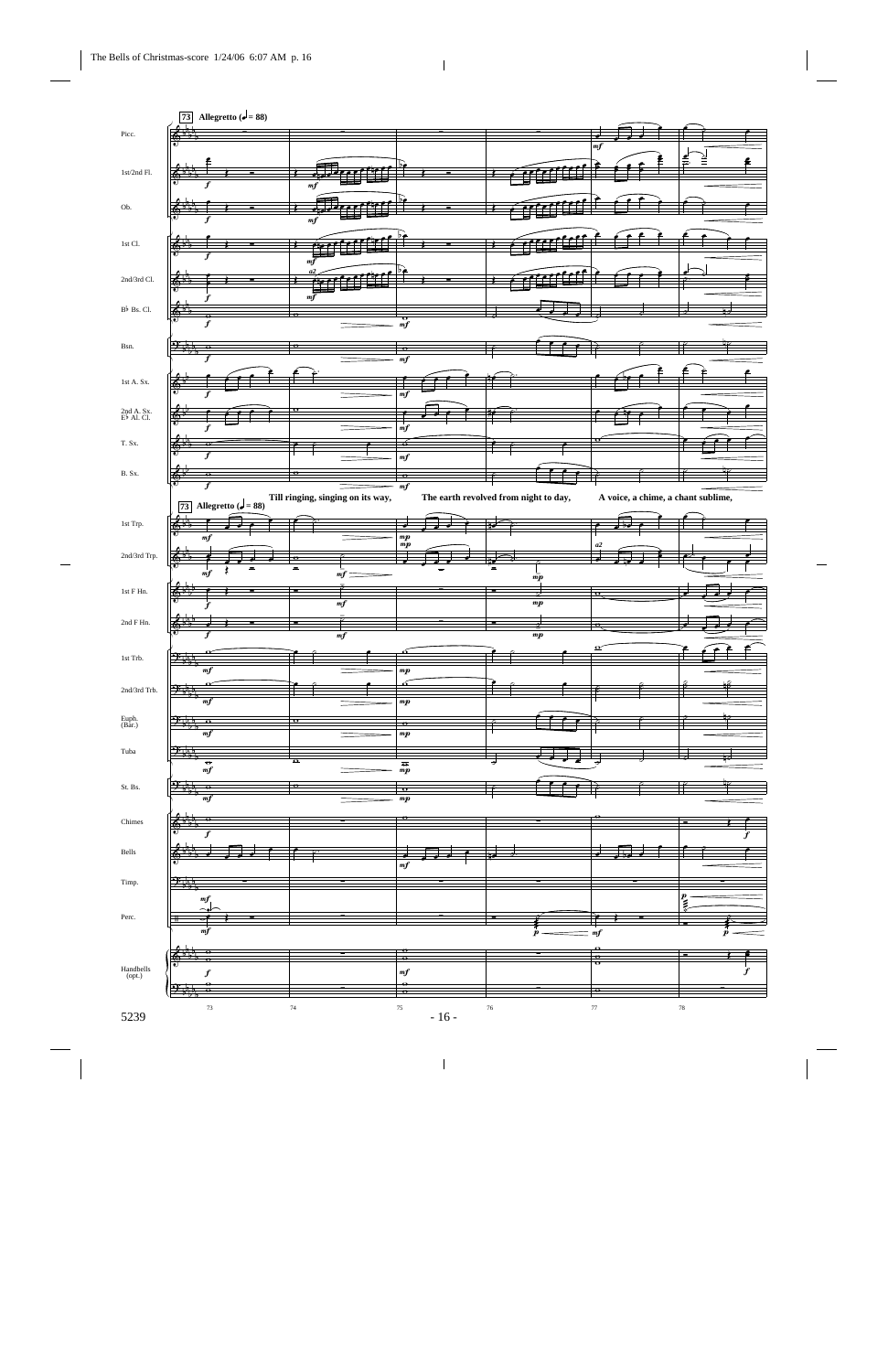![](_page_13_Figure_0.jpeg)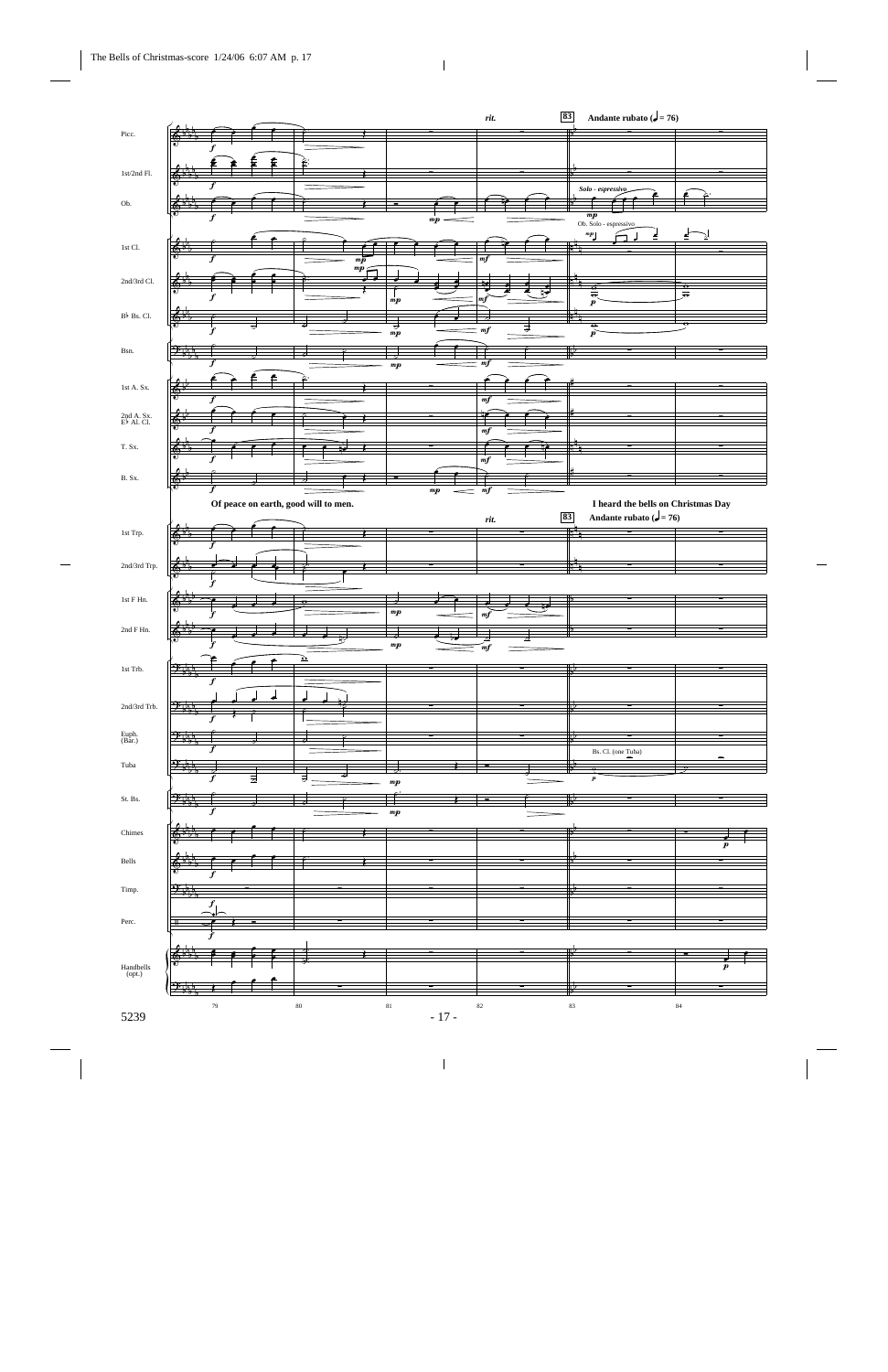![](_page_14_Figure_0.jpeg)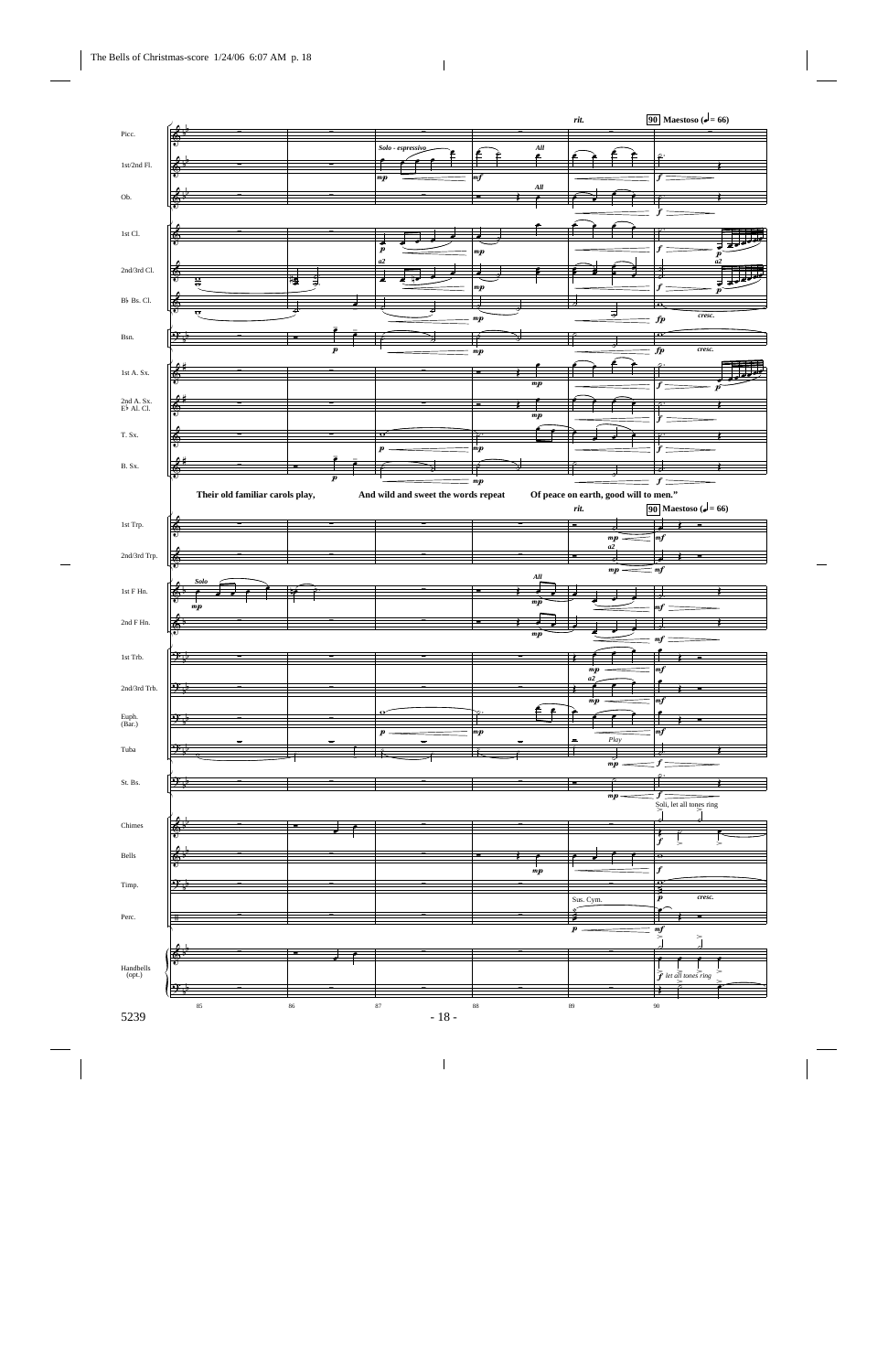![](_page_15_Figure_0.jpeg)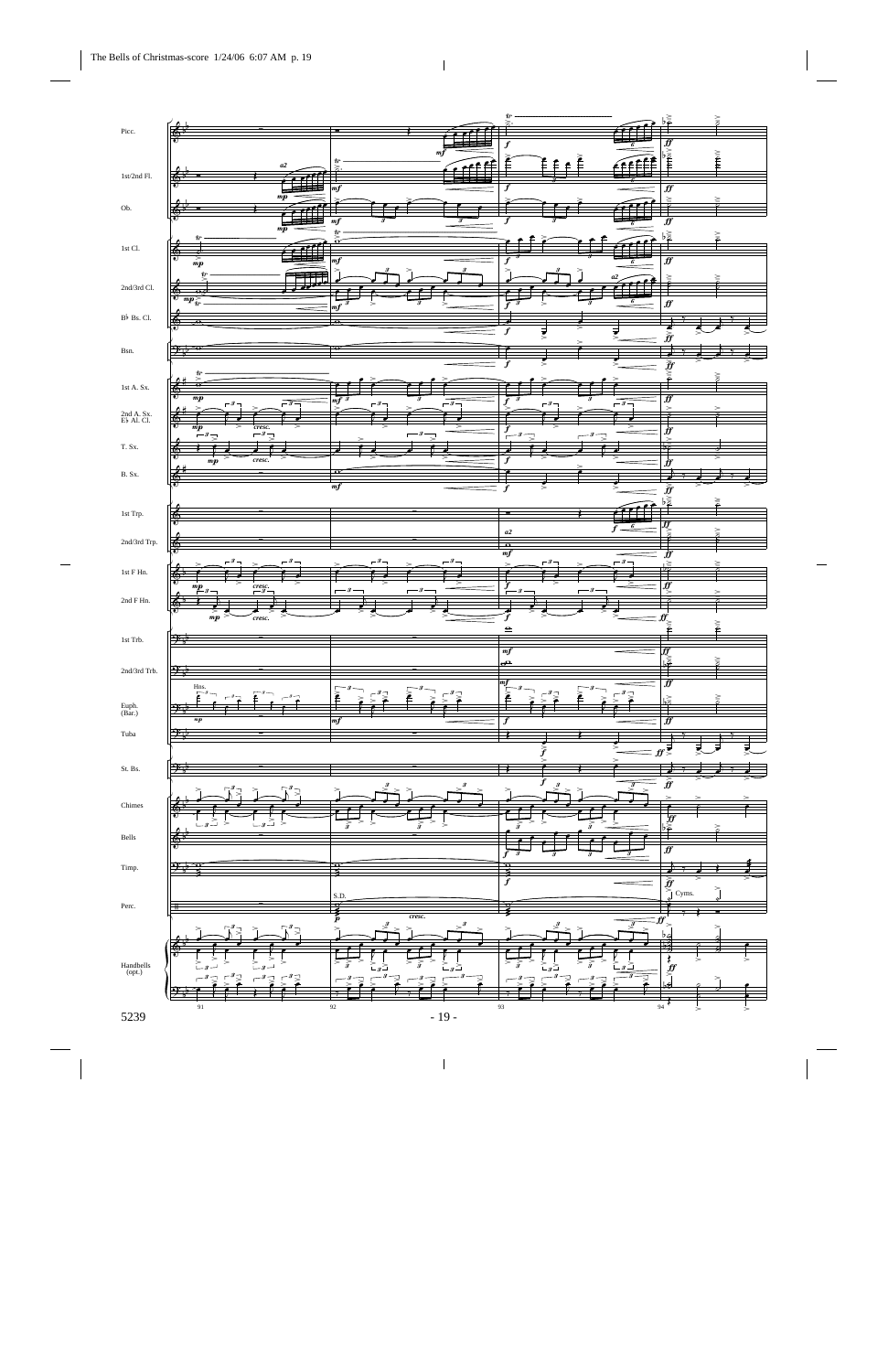![](_page_16_Figure_0.jpeg)